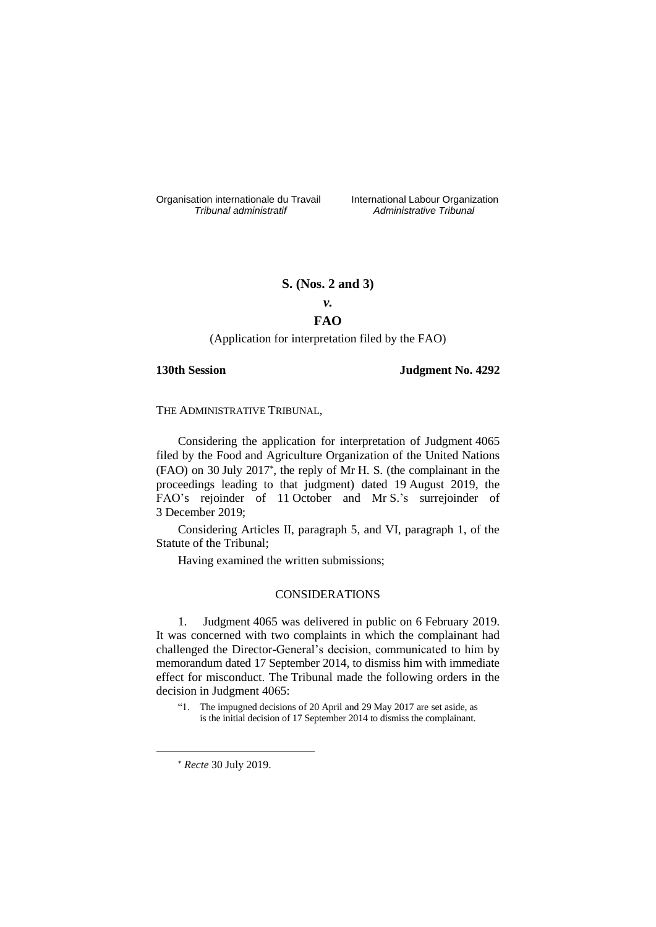Organisation internationale du Travail liternational Labour Organization<br> *Tribunal administratif Administrative Tribunal* 

*Tribunal administratif Administrative Tribunal*

## **S. (Nos. 2 and 3)**

# *v.*

## **FAO**

#### (Application for interpretation filed by the FAO)

## **130th Session Judgment No. 4292**

THE ADMINISTRATIVE TRIBUNAL,

Considering the application for interpretation of Judgment 4065 filed by the Food and Agriculture Organization of the United Nations (FAO) on 30 July 2017 , the reply of Mr H. S. (the complainant in the proceedings leading to that judgment) dated 19 August 2019, the FAO's rejoinder of 11 October and Mr S.'s surrejoinder of 3 December 2019;

Considering Articles II, paragraph 5, and VI, paragraph 1, of the Statute of the Tribunal;

Having examined the written submissions;

#### CONSIDERATIONS

1. Judgment 4065 was delivered in public on 6 February 2019. It was concerned with two complaints in which the complainant had challenged the Director-General's decision, communicated to him by memorandum dated 17 September 2014, to dismiss him with immediate effect for misconduct. The Tribunal made the following orders in the decision in Judgment 4065:

<u>.</u>

<sup>&</sup>quot;1. The impugned decisions of 20 April and 29 May 2017 are set aside, as is the initial decision of 17 September 2014 to dismiss the complainant.

*Recte* 30 July 2019.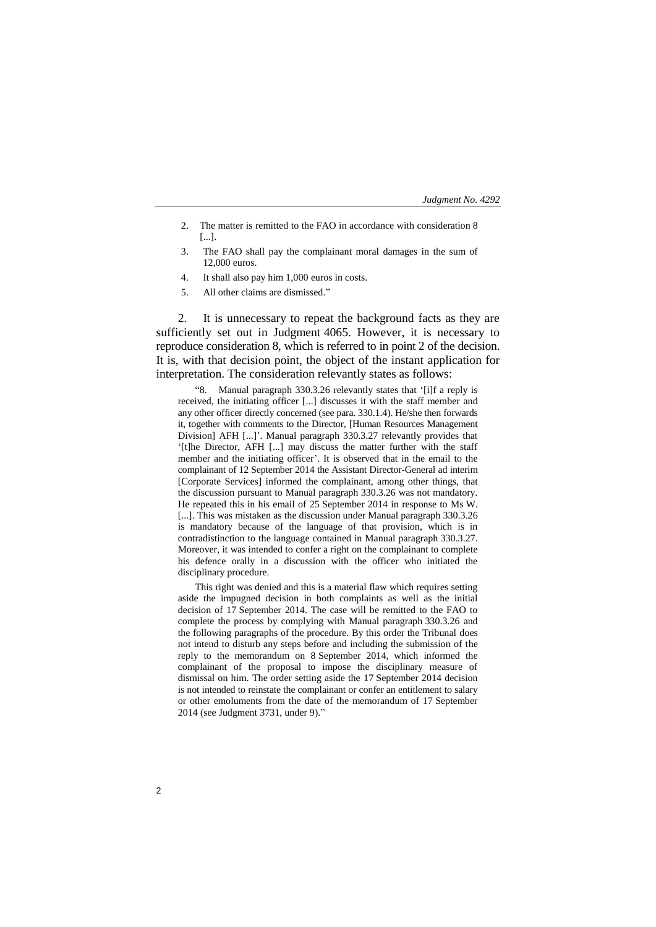- 2. The matter is remitted to the FAO in accordance with consideration 8 [...].
- 3. The FAO shall pay the complainant moral damages in the sum of 12,000 euros.
- 4. It shall also pay him 1,000 euros in costs.
- 5. All other claims are dismissed."

2. It is unnecessary to repeat the background facts as they are sufficiently set out in Judgment 4065. However, it is necessary to reproduce consideration 8, which is referred to in point 2 of the decision. It is, with that decision point, the object of the instant application for interpretation. The consideration relevantly states as follows:

"8. Manual paragraph 330.3.26 relevantly states that '[i]f a reply is received, the initiating officer [...] discusses it with the staff member and any other officer directly concerned (see para. 330.1.4). He/she then forwards it, together with comments to the Director, [Human Resources Management Division] AFH [...]'. Manual paragraph 330.3.27 relevantly provides that '[t]he Director, AFH [...] may discuss the matter further with the staff member and the initiating officer'. It is observed that in the email to the complainant of 12 September 2014 the Assistant Director-General ad interim [Corporate Services] informed the complainant, among other things, that the discussion pursuant to Manual paragraph 330.3.26 was not mandatory. He repeated this in his email of 25 September 2014 in response to Ms W. [...]. This was mistaken as the discussion under Manual paragraph 330.3.26 is mandatory because of the language of that provision, which is in contradistinction to the language contained in Manual paragraph 330.3.27. Moreover, it was intended to confer a right on the complainant to complete his defence orally in a discussion with the officer who initiated the disciplinary procedure.

This right was denied and this is a material flaw which requires setting aside the impugned decision in both complaints as well as the initial decision of 17 September 2014. The case will be remitted to the FAO to complete the process by complying with Manual paragraph 330.3.26 and the following paragraphs of the procedure. By this order the Tribunal does not intend to disturb any steps before and including the submission of the reply to the memorandum on 8 September 2014, which informed the complainant of the proposal to impose the disciplinary measure of dismissal on him. The order setting aside the 17 September 2014 decision is not intended to reinstate the complainant or confer an entitlement to salary or other emoluments from the date of the memorandum of 17 September 2014 (see Judgment 3731, under 9)."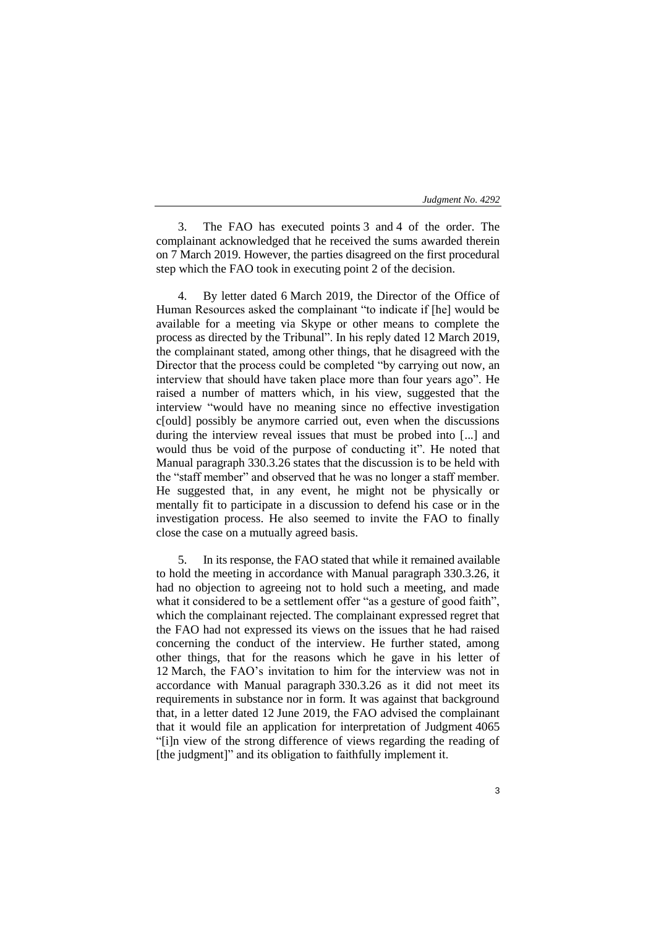3. The FAO has executed points 3 and 4 of the order. The complainant acknowledged that he received the sums awarded therein on 7 March 2019. However, the parties disagreed on the first procedural step which the FAO took in executing point 2 of the decision.

By letter dated 6 March 2019, the Director of the Office of Human Resources asked the complainant "to indicate if [he] would be available for a meeting via Skype or other means to complete the process as directed by the Tribunal". In his reply dated 12 March 2019, the complainant stated, among other things, that he disagreed with the Director that the process could be completed "by carrying out now, an interview that should have taken place more than four years ago". He raised a number of matters which, in his view, suggested that the interview "would have no meaning since no effective investigation c[ould] possibly be anymore carried out, even when the discussions during the interview reveal issues that must be probed into [...] and would thus be void of the purpose of conducting it". He noted that Manual paragraph 330.3.26 states that the discussion is to be held with the "staff member" and observed that he was no longer a staff member. He suggested that, in any event, he might not be physically or mentally fit to participate in a discussion to defend his case or in the investigation process. He also seemed to invite the FAO to finally close the case on a mutually agreed basis.

5. In its response, the FAO stated that while it remained available to hold the meeting in accordance with Manual paragraph 330.3.26, it had no objection to agreeing not to hold such a meeting, and made what it considered to be a settlement offer "as a gesture of good faith", which the complainant rejected. The complainant expressed regret that the FAO had not expressed its views on the issues that he had raised concerning the conduct of the interview. He further stated, among other things, that for the reasons which he gave in his letter of 12 March, the FAO's invitation to him for the interview was not in accordance with Manual paragraph 330.3.26 as it did not meet its requirements in substance nor in form. It was against that background that, in a letter dated 12 June 2019, the FAO advised the complainant that it would file an application for interpretation of Judgment 4065 "[i]n view of the strong difference of views regarding the reading of [the judgment]" and its obligation to faithfully implement it.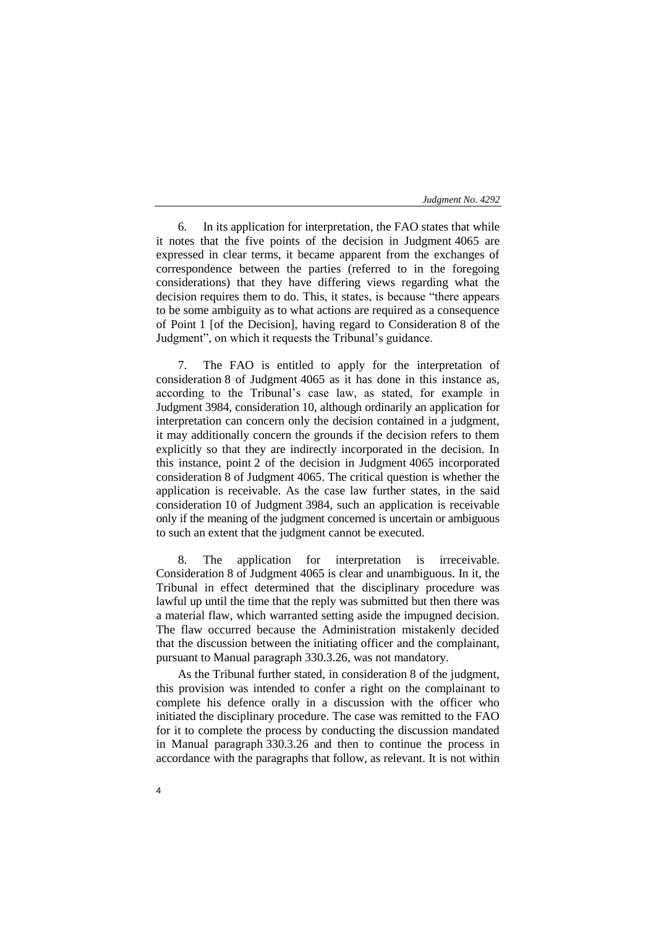6. In its application for interpretation, the FAO states that while it notes that the five points of the decision in Judgment 4065 are expressed in clear terms, it became apparent from the exchanges of correspondence between the parties (referred to in the foregoing considerations) that they have differing views regarding what the decision requires them to do. This, it states, is because "there appears to be some ambiguity as to what actions are required as a consequence of Point 1 [of the Decision], having regard to Consideration 8 of the Judgment", on which it requests the Tribunal's guidance.

7. The FAO is entitled to apply for the interpretation of consideration 8 of Judgment 4065 as it has done in this instance as, according to the Tribunal's case law, as stated, for example in Judgment 3984, consideration 10, although ordinarily an application for interpretation can concern only the decision contained in a judgment, it may additionally concern the grounds if the decision refers to them explicitly so that they are indirectly incorporated in the decision. In this instance, point 2 of the decision in Judgment 4065 incorporated consideration 8 of Judgment 4065. The critical question is whether the application is receivable. As the case law further states, in the said consideration 10 of Judgment 3984, such an application is receivable only if the meaning of the judgment concerned is uncertain or ambiguous to such an extent that the judgment cannot be executed.

8. The application for interpretation is irreceivable. Consideration 8 of Judgment 4065 is clear and unambiguous. In it, the Tribunal in effect determined that the disciplinary procedure was lawful up until the time that the reply was submitted but then there was a material flaw, which warranted setting aside the impugned decision. The flaw occurred because the Administration mistakenly decided that the discussion between the initiating officer and the complainant, pursuant to Manual paragraph 330.3.26, was not mandatory.

As the Tribunal further stated, in consideration 8 of the judgment, this provision was intended to confer a right on the complainant to complete his defence orally in a discussion with the officer who initiated the disciplinary procedure. The case was remitted to the FAO for it to complete the process by conducting the discussion mandated in Manual paragraph 330.3.26 and then to continue the process in accordance with the paragraphs that follow, as relevant. It is not within